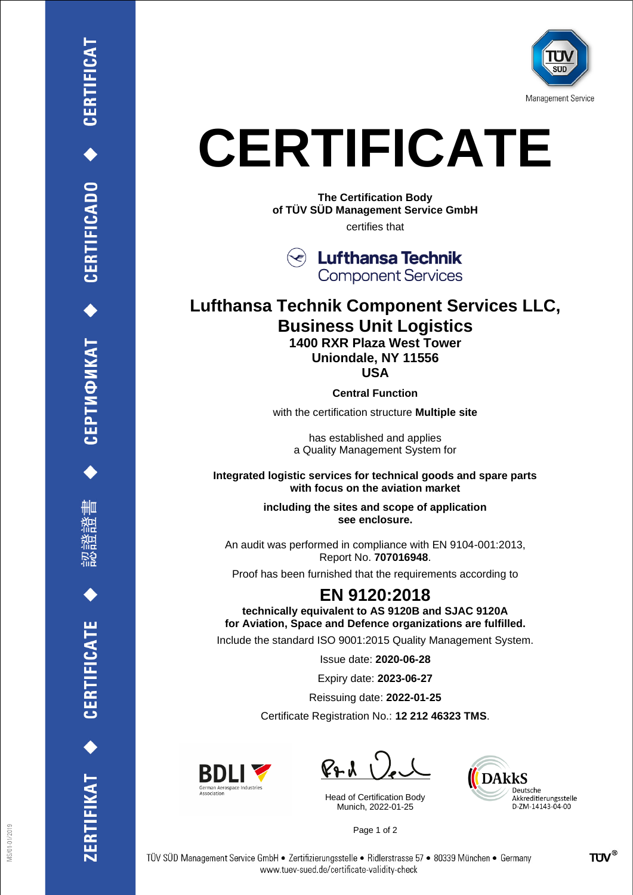

## **CERTIFICATE**

**The Certification Body of TÜV SÜD Management Service GmbH** certifies that



## **Lufthansa Technik Component Services LLC, Business Unit Logistics 1400 RXR Plaza West Tower**

**Uniondale, NY 11556**

**USA**

**Central Function**

with the certification structure **Multiple site**

has established and applies a Quality Management System for

**Integrated logistic services for technical goods and spare parts with focus on the aviation market**

> **including the sites and scope of application see enclosure.**

An audit was performed in compliance with EN 9104-001:2013, Report No. **707016948**.

Proof has been furnished that the requirements according to

## **EN 9120:2018**

**technically equivalent to AS 9120B and SJAC 9120A for Aviation, Space and Defence organizations are fulfilled.**

Include the standard ISO 9001:2015 Quality Management System.

Issue date: **2020-06-28**

Expiry date: **2023-06-27**

Reissuing date: **2022-01-25**

Certificate Registration No.: **12 212 46323 TMS**.



 $P_{2}$ 

Head of Certification Body Munich, 2022-01-25



Page 1 of 2

CERTIFICATE

ERTIFIKAT